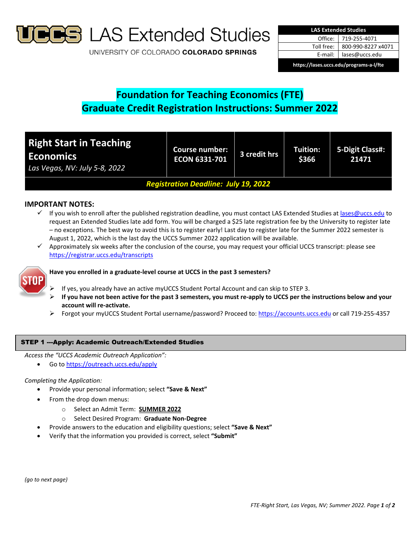

**B** LAS Extended Studies

UNIVERSITY OF COLORADO COLORADO SPRINGS

| <b>LAS Extended Studies</b>             |                    |  |  |  |
|-----------------------------------------|--------------------|--|--|--|
| Office:                                 | 719-255-4071       |  |  |  |
| Toll free:                              | 800-990-8227 x4071 |  |  |  |
| E-mail:                                 | lases@uccs.edu     |  |  |  |
| https://lases.uccs.edu/programs-a-l/fte |                    |  |  |  |

# **Foundation for Teaching Economics (FTE) Graduate Credit Registration Instructions: Summer 2022**

| <b>Right Start in Teaching</b><br><b>Economics</b><br>Las Vegas, NV: July 5-8, 2022 | <b>Course number:</b><br><b>ECON 6331-701</b> | 3 credit hrs | <b>Tuition:</b><br>\$366 | 5-Digit Class#:<br>21471 |  |
|-------------------------------------------------------------------------------------|-----------------------------------------------|--------------|--------------------------|--------------------------|--|
| <b>Registration Deadline: July 19, 2022</b>                                         |                                               |              |                          |                          |  |

## **IMPORTANT NOTES:**

- $\checkmark$  If you wish to enroll after the published registration deadline, you must contact LAS Extended Studies at lases@uccs.edu to request an Extended Studies late add form. You will be charged a \$25 late registration fee by the University to register late – no exceptions. The best way to avoid this is to register early! Last day to register late for the Summer 2022 semester is August 1, 2022, which is the last day the UCCS Summer 2022 application will be available.
- $\checkmark$  Approximately six weeks after the conclusion of the course, you may request your official UCCS transcript: please see https://registrar.uccs.edu/transcripts



# **Have you enrolled in a graduate‐level course at UCCS in the past 3 semesters?**

- If yes, you already have an active myUCCS Student Portal Account and can skip to STEP 3.
- If you have not been active for the past 3 semesters, you must re-apply to UCCS per the instructions below and your **account will re‐activate.**
- Forgot your myUCCS Student Portal username/password? Proceed to: https://accounts.uccs.edu or call 719‐255‐4357

### STEP 1 ---Apply: Academic Outreach/Extended Studies

*Access the "UCCS Academic Outreach Application":*

Go to https://outreach.uccs.edu/apply

#### *Completing the Application:*

- Provide your personal information; select **"Save & Next"**
- From the drop down menus:
	- o Select an Admit Term: **SUMMER 2022**
	- o Select Desired Program: **Graduate Non‐Degree**
	- Provide answers to the education and eligibility questions; select **"Save & Next"**
- Verify that the information you provided is correct, select **"Submit"**

*(go to next page)*